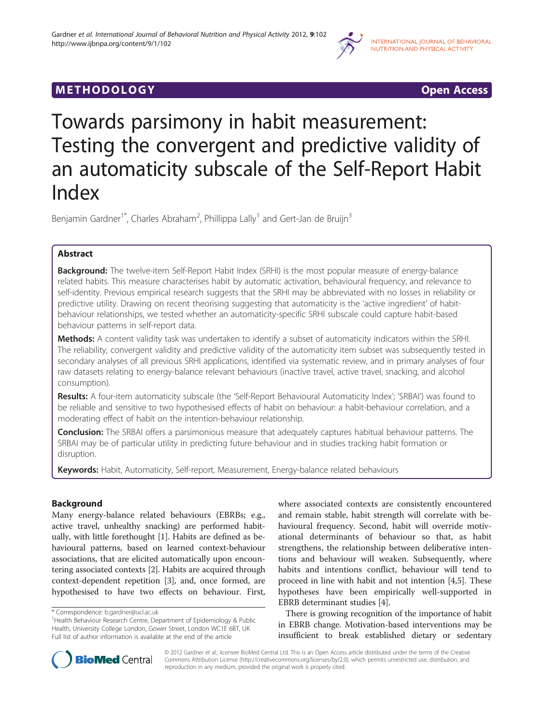

# **METHODOLOGY CONSUMING ACCESS**

# Towards parsimony in habit measurement: Testing the convergent and predictive validity of an automaticity subscale of the Self-Report Habit Index

Benjamin Gardner<sup>1\*</sup>, Charles Abraham<sup>2</sup>, Phillippa Lally<sup>1</sup> and Gert-Jan de Bruijn<sup>3</sup>

# Abstract

Background: The twelve-item Self-Report Habit Index (SRHI) is the most popular measure of energy-balance related habits. This measure characterises habit by automatic activation, behavioural frequency, and relevance to self-identity. Previous empirical research suggests that the SRHI may be abbreviated with no losses in reliability or predictive utility. Drawing on recent theorising suggesting that automaticity is the 'active ingredient' of habitbehaviour relationships, we tested whether an automaticity-specific SRHI subscale could capture habit-based behaviour patterns in self-report data.

Methods: A content validity task was undertaken to identify a subset of automaticity indicators within the SRHI. The reliability, convergent validity and predictive validity of the automaticity item subset was subsequently tested in secondary analyses of all previous SRHI applications, identified via systematic review, and in primary analyses of four raw datasets relating to energy-balance relevant behaviours (inactive travel, active travel, snacking, and alcohol consumption).

Results: A four-item automaticity subscale (the 'Self-Report Behavioural Automaticity Index'; 'SRBAI') was found to be reliable and sensitive to two hypothesised effects of habit on behaviour: a habit-behaviour correlation, and a moderating effect of habit on the intention-behaviour relationship.

**Conclusion:** The SRBAI offers a parsimonious measure that adequately captures habitual behaviour patterns. The SRBAI may be of particular utility in predicting future behaviour and in studies tracking habit formation or disruption.

Keywords: Habit, Automaticity, Self-report, Measurement, Energy-balance related behaviours

# Background

Many energy-balance related behaviours (EBRBs; e.g., active travel, unhealthy snacking) are performed habitually, with little forethought [[1\]](#page-9-0). Habits are defined as behavioural patterns, based on learned context-behaviour associations, that are elicited automatically upon encountering associated contexts [\[2](#page-9-0)]. Habits are acquired through context-dependent repetition [\[3\]](#page-9-0), and, once formed, are hypothesised to have two effects on behaviour. First, where associated contexts are consistently encountered and remain stable, habit strength will correlate with behavioural frequency. Second, habit will override motivational determinants of behaviour so that, as habit strengthens, the relationship between deliberative intentions and behaviour will weaken. Subsequently, where habits and intentions conflict, behaviour will tend to proceed in line with habit and not intention [[4,5\]](#page-9-0). These hypotheses have been empirically well-supported in EBRB determinant studies [\[4](#page-9-0)].

There is growing recognition of the importance of habit in EBRB change. Motivation-based interventions may be insufficient to break established dietary or sedentary



© 2012 Gardner et al.; licensee BioMed Central Ltd. This is an Open Access article distributed under the terms of the Creative Commons Attribution License [\(http://creativecommons.org/licenses/by/2.0\)](http://creativecommons.org/licenses/by/2.0), which permits unrestricted use, distribution, and reproduction in any medium, provided the original work is properly cited.

<sup>\*</sup> Correspondence: [b.gardner@ucl.ac.uk](mailto:b.gardner@ucl.ac.uk) <sup>1</sup>

<sup>&</sup>lt;sup>1</sup> Health Behaviour Research Centre, Department of Epidemiology & Public Health, University College London, Gower Street, London WC1E 6BT, UK Full list of author information is available at the end of the article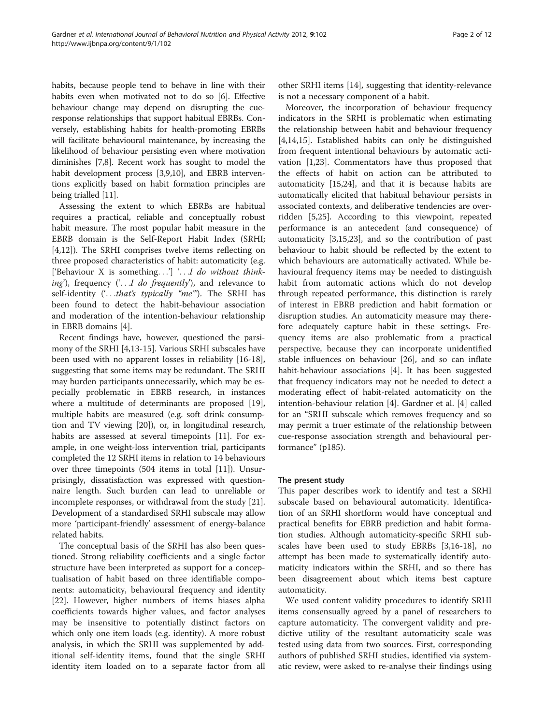habits, because people tend to behave in line with their habits even when motivated not to do so [[6\]](#page-9-0). Effective behaviour change may depend on disrupting the cueresponse relationships that support habitual EBRBs. Conversely, establishing habits for health-promoting EBRBs will facilitate behavioural maintenance, by increasing the likelihood of behaviour persisting even where motivation diminishes [\[7,8](#page-9-0)]. Recent work has sought to model the habit development process [[3,9](#page-9-0)[,10\]](#page-10-0), and EBRB interventions explicitly based on habit formation principles are being trialled [[11](#page-10-0)].

Assessing the extent to which EBRBs are habitual requires a practical, reliable and conceptually robust habit measure. The most popular habit measure in the EBRB domain is the Self-Report Habit Index (SRHI; [[4,](#page-9-0)[12\]](#page-10-0)). The SRHI comprises twelve items reflecting on three proposed characteristics of habit: automaticity (e.g. ['Behaviour X is something...'] '...I do without thinking'), frequency  $($ '...I do frequently'), and relevance to self-identity ('...that's typically "me"'). The SRHI has been found to detect the habit-behaviour association and moderation of the intention-behaviour relationship in EBRB domains [[4](#page-9-0)].

Recent findings have, however, questioned the parsimony of the SRHI [[4,](#page-9-0)[13-15](#page-10-0)]. Various SRHI subscales have been used with no apparent losses in reliability [\[16-18](#page-10-0)], suggesting that some items may be redundant. The SRHI may burden participants unnecessarily, which may be especially problematic in EBRB research, in instances where a multitude of determinants are proposed [\[19](#page-10-0)], multiple habits are measured (e.g. soft drink consumption and TV viewing [\[20\]](#page-10-0)), or, in longitudinal research, habits are assessed at several timepoints [[11\]](#page-10-0). For example, in one weight-loss intervention trial, participants completed the 12 SRHI items in relation to 14 behaviours over three timepoints (504 items in total [\[11\]](#page-10-0)). Unsurprisingly, dissatisfaction was expressed with questionnaire length. Such burden can lead to unreliable or incomplete responses, or withdrawal from the study [\[21](#page-10-0)]. Development of a standardised SRHI subscale may allow more 'participant-friendly' assessment of energy-balance related habits.

The conceptual basis of the SRHI has also been questioned. Strong reliability coefficients and a single factor structure have been interpreted as support for a conceptualisation of habit based on three identifiable components: automaticity, behavioural frequency and identity [[22\]](#page-10-0). However, higher numbers of items biases alpha coefficients towards higher values, and factor analyses may be insensitive to potentially distinct factors on which only one item loads (e.g. identity). A more robust analysis, in which the SRHI was supplemented by additional self-identity items, found that the single SRHI identity item loaded on to a separate factor from all

other SRHI items [[14\]](#page-10-0), suggesting that identity-relevance is not a necessary component of a habit.

Moreover, the incorporation of behaviour frequency indicators in the SRHI is problematic when estimating the relationship between habit and behaviour frequency [[4,](#page-9-0)[14,15\]](#page-10-0). Established habits can only be distinguished from frequent intentional behaviours by automatic activation [\[1](#page-9-0)[,23](#page-10-0)]. Commentators have thus proposed that the effects of habit on action can be attributed to automaticity [[15,24\]](#page-10-0), and that it is because habits are automatically elicited that habitual behaviour persists in associated contexts, and deliberative tendencies are overridden [[5,](#page-9-0)[25\]](#page-10-0). According to this viewpoint, repeated performance is an antecedent (and consequence) of automaticity [\[3](#page-9-0)[,15,23](#page-10-0)], and so the contribution of past behaviour to habit should be reflected by the extent to which behaviours are automatically activated. While behavioural frequency items may be needed to distinguish habit from automatic actions which do not develop through repeated performance, this distinction is rarely of interest in EBRB prediction and habit formation or disruption studies. An automaticity measure may therefore adequately capture habit in these settings. Frequency items are also problematic from a practical perspective, because they can incorporate unidentified stable influences on behaviour [[26](#page-10-0)], and so can inflate habit-behaviour associations [\[4](#page-9-0)]. It has been suggested that frequency indicators may not be needed to detect a moderating effect of habit-related automaticity on the intention-behaviour relation [[4\]](#page-9-0). Gardner et al. [[4\]](#page-9-0) called for an "SRHI subscale which removes frequency and so may permit a truer estimate of the relationship between cue-response association strength and behavioural performance" (p185).

#### The present study

This paper describes work to identify and test a SRHI subscale based on behavioural automaticity. Identification of an SRHI shortform would have conceptual and practical benefits for EBRB prediction and habit formation studies. Although automaticity-specific SRHI subscales have been used to study EBRBs [[3](#page-9-0),[16](#page-10-0)-[18\]](#page-10-0), no attempt has been made to systematically identify automaticity indicators within the SRHI, and so there has been disagreement about which items best capture automaticity.

We used content validity procedures to identify SRHI items consensually agreed by a panel of researchers to capture automaticity. The convergent validity and predictive utility of the resultant automaticity scale was tested using data from two sources. First, corresponding authors of published SRHI studies, identified via systematic review, were asked to re-analyse their findings using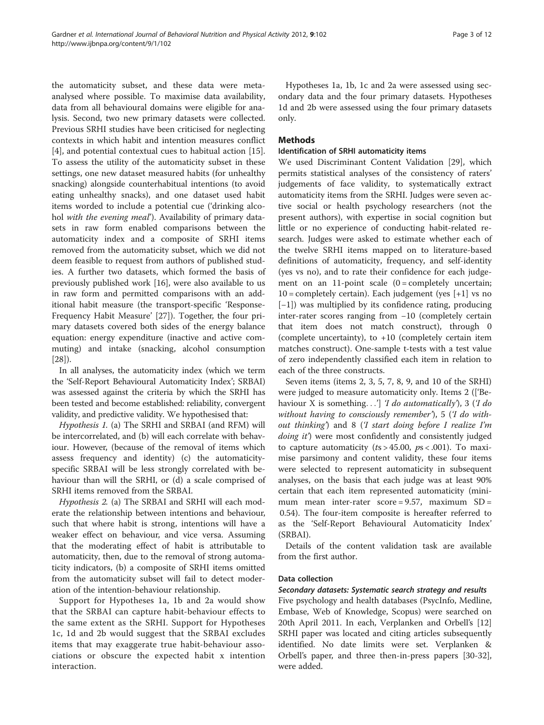the automaticity subset, and these data were metaanalysed where possible. To maximise data availability, data from all behavioural domains were eligible for analysis. Second, two new primary datasets were collected. Previous SRHI studies have been criticised for neglecting contexts in which habit and intention measures conflict [[4\]](#page-9-0), and potential contextual cues to habitual action [\[15](#page-10-0)]. To assess the utility of the automaticity subset in these settings, one new dataset measured habits (for unhealthy snacking) alongside counterhabitual intentions (to avoid eating unhealthy snacks), and one dataset used habit items worded to include a potential cue ('drinking alcohol with the evening meal'). Availability of primary datasets in raw form enabled comparisons between the automaticity index and a composite of SRHI items removed from the automaticity subset, which we did not deem feasible to request from authors of published studies. A further two datasets, which formed the basis of previously published work [\[16](#page-10-0)], were also available to us in raw form and permitted comparisons with an additional habit measure (the transport-specific 'Response-Frequency Habit Measure' [\[27](#page-10-0)]). Together, the four primary datasets covered both sides of the energy balance equation: energy expenditure (inactive and active commuting) and intake (snacking, alcohol consumption [[28\]](#page-10-0)).

In all analyses, the automaticity index (which we term the 'Self-Report Behavioural Automaticity Index'; SRBAI) was assessed against the criteria by which the SRHI has been tested and become established: reliability, convergent validity, and predictive validity. We hypothesised that:

Hypothesis 1. (a) The SRHI and SRBAI (and RFM) will be intercorrelated, and (b) will each correlate with behaviour. However, (because of the removal of items which assess frequency and identity) (c) the automaticityspecific SRBAI will be less strongly correlated with behaviour than will the SRHI, or (d) a scale comprised of SRHI items removed from the SRBAI.

Hypothesis 2. (a) The SRBAI and SRHI will each moderate the relationship between intentions and behaviour, such that where habit is strong, intentions will have a weaker effect on behaviour, and vice versa. Assuming that the moderating effect of habit is attributable to automaticity, then, due to the removal of strong automaticity indicators, (b) a composite of SRHI items omitted from the automaticity subset will fail to detect moderation of the intention-behaviour relationship.

Support for Hypotheses 1a, 1b and 2a would show that the SRBAI can capture habit-behaviour effects to the same extent as the SRHI. Support for Hypotheses 1c, 1d and 2b would suggest that the SRBAI excludes items that may exaggerate true habit-behaviour associations or obscure the expected habit x intention interaction.

Hypotheses 1a, 1b, 1c and 2a were assessed using secondary data and the four primary datasets. Hypotheses 1d and 2b were assessed using the four primary datasets only.

# **Methods**

# Identification of SRHI automaticity items

We used Discriminant Content Validation [\[29\]](#page-10-0), which permits statistical analyses of the consistency of raters' judgements of face validity, to systematically extract automaticity items from the SRHI. Judges were seven active social or health psychology researchers (not the present authors), with expertise in social cognition but little or no experience of conducting habit-related research. Judges were asked to estimate whether each of the twelve SRHI items mapped on to literature-based definitions of automaticity, frequency, and self-identity (yes vs no), and to rate their confidence for each judgement on an 11-point scale  $(0 = \text{completely uncertain})$  $10 =$  completely certain). Each judgement (yes  $[+1]$  vs no [−1]) was multiplied by its confidence rating, producing inter-rater scores ranging from −10 (completely certain that item does not match construct), through 0 (complete uncertainty), to +10 (completely certain item matches construct). One-sample t-tests with a test value of zero independently classified each item in relation to each of the three constructs.

Seven items (items 2, 3, 5, 7, 8, 9, and 10 of the SRHI) were judged to measure automaticity only. Items 2 (['Behaviour X is something...'] *'I do automatically'*), 3 (*'I do* without having to consciously remember'), 5 (T do without thinking') and 8 ('I start doing before I realize I'm doing it') were most confidently and consistently judged to capture automaticity ( $ts > 45.00$ ,  $ps < .001$ ). To maximise parsimony and content validity, these four items were selected to represent automaticity in subsequent analyses, on the basis that each judge was at least 90% certain that each item represented automaticity (minimum mean inter-rater score =  $9.57$ , maximum SD = 0.54). The four-item composite is hereafter referred to as the 'Self-Report Behavioural Automaticity Index' (SRBAI).

Details of the content validation task are available from the first author.

# Data collection

# Secondary datasets: Systematic search strategy and results

Five psychology and health databases (PsycInfo, Medline, Embase, Web of Knowledge, Scopus) were searched on 20th April 2011. In each, Verplanken and Orbell's [[12](#page-10-0)] SRHI paper was located and citing articles subsequently identified. No date limits were set. Verplanken & Orbell's paper, and three then-in-press papers [\[30-32](#page-10-0)], were added.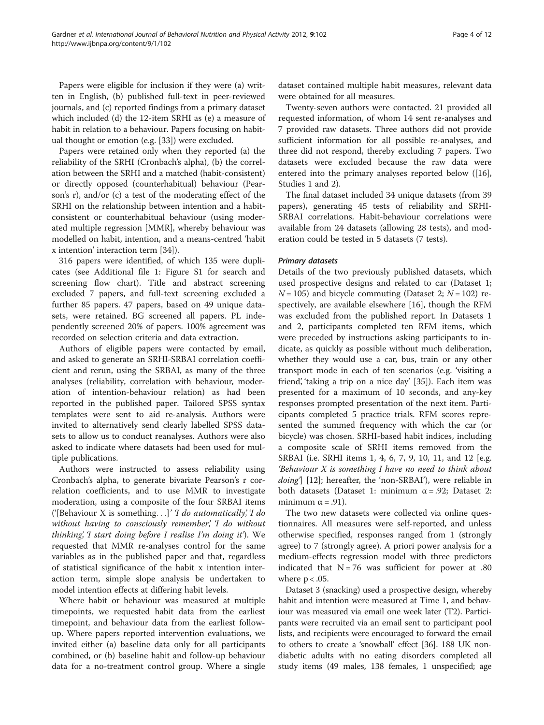Papers were eligible for inclusion if they were (a) written in English, (b) published full-text in peer-reviewed journals, and (c) reported findings from a primary dataset which included (d) the 12-item SRHI as (e) a measure of habit in relation to a behaviour. Papers focusing on habitual thought or emotion (e.g. [[33\]](#page-10-0)) were excluded.

Papers were retained only when they reported (a) the reliability of the SRHI (Cronbach's alpha), (b) the correlation between the SRHI and a matched (habit-consistent) or directly opposed (counterhabitual) behaviour (Pearson's r), and/or (c) a test of the moderating effect of the SRHI on the relationship between intention and a habitconsistent or counterhabitual behaviour (using moderated multiple regression [MMR], whereby behaviour was modelled on habit, intention, and a means-centred 'habit x intention' interaction term [\[34\]](#page-10-0)).

316 papers were identified, of which 135 were duplicates (see Additional file [1:](#page-9-0) Figure S1 for search and screening flow chart). Title and abstract screening excluded 7 papers, and full-text screening excluded a further 85 papers. 47 papers, based on 49 unique datasets, were retained. BG screened all papers. PL independently screened 20% of papers. 100% agreement was recorded on selection criteria and data extraction.

Authors of eligible papers were contacted by email, and asked to generate an SRHI-SRBAI correlation coefficient and rerun, using the SRBAI, as many of the three analyses (reliability, correlation with behaviour, moderation of intention-behaviour relation) as had been reported in the published paper. Tailored SPSS syntax templates were sent to aid re-analysis. Authors were invited to alternatively send clearly labelled SPSS datasets to allow us to conduct reanalyses. Authors were also asked to indicate where datasets had been used for multiple publications.

Authors were instructed to assess reliability using Cronbach's alpha, to generate bivariate Pearson's r correlation coefficients, and to use MMR to investigate moderation, using a composite of the four SRBAI items ('[Behaviour X is something...]' 'I do automatically', 'I do without having to consciously remember, 'I do without thinking', 'I start doing before I realise I'm doing it'). We requested that MMR re-analyses control for the same variables as in the published paper and that, regardless of statistical significance of the habit x intention interaction term, simple slope analysis be undertaken to model intention effects at differing habit levels.

Where habit or behaviour was measured at multiple timepoints, we requested habit data from the earliest timepoint, and behaviour data from the earliest followup. Where papers reported intervention evaluations, we invited either (a) baseline data only for all participants combined, or (b) baseline habit and follow-up behaviour data for a no-treatment control group. Where a single

dataset contained multiple habit measures, relevant data were obtained for all measures.

Twenty-seven authors were contacted. 21 provided all requested information, of whom 14 sent re-analyses and 7 provided raw datasets. Three authors did not provide sufficient information for all possible re-analyses, and three did not respond, thereby excluding 7 papers. Two datasets were excluded because the raw data were entered into the primary analyses reported below ([\[16](#page-10-0)], Studies 1 and 2).

The final dataset included 34 unique datasets (from 39 papers), generating 45 tests of reliability and SRHI-SRBAI correlations. Habit-behaviour correlations were available from 24 datasets (allowing 28 tests), and moderation could be tested in 5 datasets (7 tests).

#### Primary datasets

Details of the two previously published datasets, which used prospective designs and related to car (Dataset 1;  $N = 105$ ) and bicycle commuting (Dataset 2;  $N = 102$ ) respectively, are available elsewhere [[16\]](#page-10-0), though the RFM was excluded from the published report. In Datasets 1 and 2, participants completed ten RFM items, which were preceded by instructions asking participants to indicate, as quickly as possible without much deliberation, whether they would use a car, bus, train or any other transport mode in each of ten scenarios (e.g. 'visiting a friend', 'taking a trip on a nice day' [\[35\]](#page-10-0)). Each item was presented for a maximum of 10 seconds, and any-key responses prompted presentation of the next item. Participants completed 5 practice trials. RFM scores represented the summed frequency with which the car (or bicycle) was chosen. SRHI-based habit indices, including a composite scale of SRHI items removed from the SRBAI (i.e. SRHI items 1, 4, 6, 7, 9, 10, 11, and 12 [e.g. 'Behaviour X is something I have no need to think about doing' [[12](#page-10-0)]; hereafter, the 'non-SRBAI'), were reliable in both datasets (Dataset 1: minimum α = .92; Dataset 2: minimum  $\alpha = .91$ ).

The two new datasets were collected via online questionnaires. All measures were self-reported, and unless otherwise specified, responses ranged from 1 (strongly agree) to 7 (strongly agree). A priori power analysis for a medium-effects regression model with three predictors indicated that  $N = 76$  was sufficient for power at .80 where  $p < .05$ .

Dataset 3 (snacking) used a prospective design, whereby habit and intention were measured at Time 1, and behaviour was measured via email one week later (T2). Participants were recruited via an email sent to participant pool lists, and recipients were encouraged to forward the email to others to create a 'snowball' effect [[36](#page-10-0)]. 188 UK nondiabetic adults with no eating disorders completed all study items (49 males, 138 females, 1 unspecified; age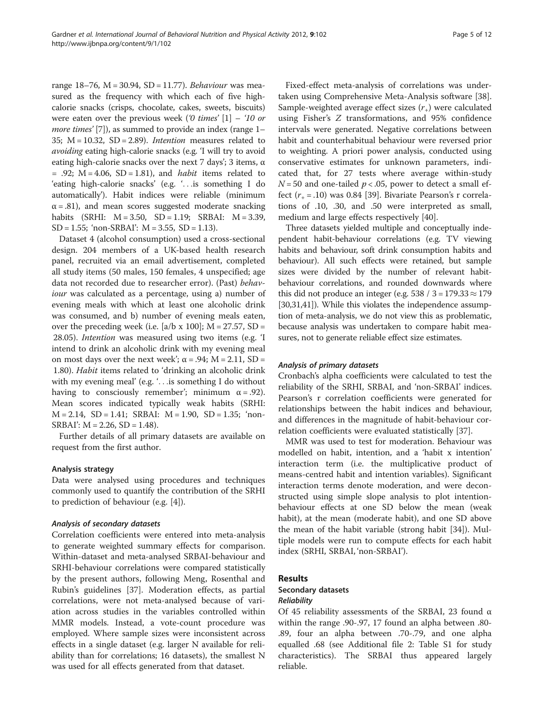range  $18-76$ , M = 30.94, SD = 11.77). Behaviour was measured as the frequency with which each of five highcalorie snacks (crisps, chocolate, cakes, sweets, biscuits) were eaten over the previous week ('0 times'  $[1] - '10$  $[1] - '10$  or more times' [[7](#page-9-0)]), as summed to provide an index (range 1– 35;  $M = 10.32$ ,  $SD = 2.89$ ). *Intention* measures related to avoiding eating high-calorie snacks (e.g. 'I will try to avoid eating high-calorie snacks over the next 7 days'; 3 items,  $\alpha$  $= .92$ ; M  $= 4.06$ , SD  $= 1.81$ ), and *habit* items related to 'eating high-calorie snacks' (e.g. '...is something I do automatically'). Habit indices were reliable (minimum  $\alpha = .81$ ), and mean scores suggested moderate snacking habits (SRHI:  $M = 3.50$ , SD = 1.19; SRBAI:  $M = 3.39$ ,  $SD = 1.55$ ; 'non-SRBAI':  $M = 3.55$ ,  $SD = 1.13$ ).

Dataset 4 (alcohol consumption) used a cross-sectional design. 204 members of a UK-based health research panel, recruited via an email advertisement, completed all study items (50 males, 150 females, 4 unspecified; age data not recorded due to researcher error). (Past) behaviour was calculated as a percentage, using a) number of evening meals with which at least one alcoholic drink was consumed, and b) number of evening meals eaten, over the preceding week (i.e.  $[a/b \times 100]$ ; M = 27.57, SD = 28.05). Intention was measured using two items (e.g. 'I intend to drink an alcoholic drink with my evening meal on most days over the next week';  $\alpha$  = .94; M = 2.11, SD = 1.80). Habit items related to 'drinking an alcoholic drink with my evening meal' (e.g. '... is something I do without having to consciously remember'; minimum  $\alpha = .92$ ). Mean scores indicated typically weak habits (SRHI:  $M = 2.14$ ,  $SD = 1.41$ ;  $SRBAL: M = 1.90$ ,  $SD = 1.35$ ; 'non- $SRBAI'$ :  $M = 2.26$ ,  $SD = 1.48$ ).

Further details of all primary datasets are available on request from the first author.

#### Analysis strategy

Data were analysed using procedures and techniques commonly used to quantify the contribution of the SRHI to prediction of behaviour (e.g. [[4\]](#page-9-0)).

#### Analysis of secondary datasets

Correlation coefficients were entered into meta-analysis to generate weighted summary effects for comparison. Within-dataset and meta-analysed SRBAI-behaviour and SRHI-behaviour correlations were compared statistically by the present authors, following Meng, Rosenthal and Rubin's guidelines [[37\]](#page-10-0). Moderation effects, as partial correlations, were not meta-analysed because of variation across studies in the variables controlled within MMR models. Instead, a vote-count procedure was employed. Where sample sizes were inconsistent across effects in a single dataset (e.g. larger N available for reliability than for correlations; 16 datasets), the smallest N was used for all effects generated from that dataset.

Fixed-effect meta-analysis of correlations was undertaken using Comprehensive Meta-Analysis software [\[38](#page-10-0)]. Sample-weighted average effect sizes  $(r_{+})$  were calculated using Fisher's Z transformations, and 95% confidence intervals were generated. Negative correlations between habit and counterhabitual behaviour were reversed prior to weighting. A priori power analysis, conducted using conservative estimates for unknown parameters, indicated that, for 27 tests where average within-study  $N = 50$  and one-tailed  $p < .05$ , power to detect a small effect  $(r_{+} = .10)$  was 0.84 [[39](#page-10-0)]. Bivariate Pearson's r correlations of .10, .30, and .50 were interpreted as small, medium and large effects respectively [[40\]](#page-10-0).

Three datasets yielded multiple and conceptually independent habit-behaviour correlations (e.g. TV viewing habits and behaviour, soft drink consumption habits and behaviour). All such effects were retained, but sample sizes were divided by the number of relevant habitbehaviour correlations, and rounded downwards where this did not produce an integer (e.g. 538 / 3 = 179.33  $\approx$  179 [[30](#page-10-0),[31,41\]](#page-10-0)). While this violates the independence assumption of meta-analysis, we do not view this as problematic, because analysis was undertaken to compare habit measures, not to generate reliable effect size estimates.

#### Analysis of primary datasets

Cronbach's alpha coefficients were calculated to test the reliability of the SRHI, SRBAI, and 'non-SRBAI' indices. Pearson's r correlation coefficients were generated for relationships between the habit indices and behaviour, and differences in the magnitude of habit-behaviour correlation coefficients were evaluated statistically [[37](#page-10-0)].

MMR was used to test for moderation. Behaviour was modelled on habit, intention, and a 'habit x intention' interaction term (i.e. the multiplicative product of means-centred habit and intention variables). Significant interaction terms denote moderation, and were deconstructed using simple slope analysis to plot intentionbehaviour effects at one SD below the mean (weak habit), at the mean (moderate habit), and one SD above the mean of the habit variable (strong habit [[34\]](#page-10-0)). Multiple models were run to compute effects for each habit index (SRHI, SRBAI, 'non-SRBAI').

#### Results

# Secondary datasets **Reliability**

Of 45 reliability assessments of the SRBAI, 23 found α within the range .90-.97, 17 found an alpha between .80- .89, four an alpha between .70-.79, and one alpha equalled .68 (see Additional file [2](#page-9-0): Table S1 for study characteristics). The SRBAI thus appeared largely reliable.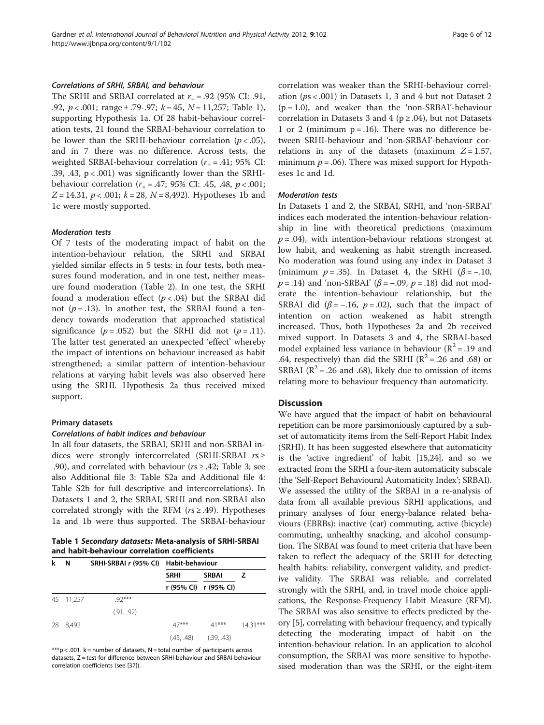## Correlations of SRHI, SRBAI, and behaviour

The SRHI and SRBAI correlated at  $r_{+}$  = .92 (95% CI: .91, .92,  $p < .001$ ; range ± .79-.97;  $k = 45$ ,  $N = 11,257$ ; Table 1), supporting Hypothesis 1a. Of 28 habit-behaviour correlation tests, 21 found the SRBAI-behaviour correlation to be lower than the SRHI-behaviour correlation ( $p < .05$ ), and in 7 there was no difference. Across tests, the weighted SRBAI-behaviour correlation  $(r_{+} = .41; 95\% \text{ CI:}$ .39, .43, p < .001) was significantly lower than the SRHIbehaviour correlation ( $r_{+} = .47$ ; 95% CI: .45, .48,  $p < .001$ ;  $Z = 14.31, p < .001; k = 28, N = 8,492$ . Hypotheses 1b and 1c were mostly supported.

#### Moderation tests

Of 7 tests of the moderating impact of habit on the intention-behaviour relation, the SRHI and SRBAI yielded similar effects in 5 tests: in four tests, both measures found moderation, and in one test, neither measure found moderation (Table [2\)](#page-6-0). In one test, the SRHI found a moderation effect  $(p < .04)$  but the SRBAI did not ( $p = .13$ ). In another test, the SRBAI found a tendency towards moderation that approached statistical significance ( $p = .052$ ) but the SRHI did not ( $p = .11$ ). The latter test generated an unexpected 'effect' whereby the impact of intentions on behaviour increased as habit strengthened; a similar pattern of intention-behaviour relations at varying habit levels was also observed here using the SRHI. Hypothesis 2a thus received mixed support.

#### Primary datasets

#### Correlations of habit indices and behaviour

In all four datasets, the SRBAI, SRHI and non-SRBAI indices were strongly intercorrelated (SRHI-SRBAI rs ≥ .90), and correlated with behaviour ( $rs \geq .42$ ; Table [3;](#page-7-0) see also Additional file [3:](#page-9-0) Table S2a and Additional file [4](#page-9-0): Table S2b for full descriptive and intercorrelations). In Datasets 1 and 2, the SRBAI, SRHI and non-SRBAI also correlated strongly with the RFM ( $rs \ge .49$ ). Hypotheses 1a and 1b were thus supported. The SRBAI-behaviour

| Table 1 Secondary datasets: Meta-analysis of SRHI-SRBAI |  |
|---------------------------------------------------------|--|
| and habit-behaviour correlation coefficients            |  |

| N         |            |             |              |                                                                |  |  |  |  |  |
|-----------|------------|-------------|--------------|----------------------------------------------------------------|--|--|--|--|--|
|           |            | <b>SRHI</b> | <b>SRBAI</b> | z                                                              |  |  |  |  |  |
|           |            |             |              |                                                                |  |  |  |  |  |
| 45 11,257 | $92***$    |             |              |                                                                |  |  |  |  |  |
|           | (.91, .92) |             |              |                                                                |  |  |  |  |  |
| 8,492     |            | $47***$     | $.41***$     | $14.31***$                                                     |  |  |  |  |  |
|           |            | (.45, .48)  | (.39, .43)   |                                                                |  |  |  |  |  |
|           |            |             |              | SRHI-SRBAI r (95% CI) Habit-behaviour<br>r (95% CI) r (95% CI) |  |  |  |  |  |

\*\*\*p < .001.  $k$  = number of datasets, N = total number of participants across datasets, Z = test for difference between SRHI-behaviour and SRBAI-behaviour correlation coefficients (see [[37\]](#page-10-0)).

correlation was weaker than the SRHI-behaviour correlation ( $ps < .001$ ) in Datasets 1, 3 and 4 but not Dataset 2  $(p = 1.0)$ , and weaker than the 'non-SRBAI'-behaviour correlation in Datasets 3 and 4 ( $p \ge 0.04$ ), but not Datasets 1 or 2 (minimum  $p = .16$ ). There was no difference between SRHI-behaviour and 'non-SRBAI'-behaviour correlations in any of the datasets (maximum  $Z = 1.57$ , minimum  $p = .06$ ). There was mixed support for Hypotheses 1c and 1d.

#### Moderation tests

In Datasets 1 and 2, the SRBAI, SRHI, and 'non-SRBAI' indices each moderated the intention-behaviour relationship in line with theoretical predictions (maximum  $p = .04$ ), with intention-behaviour relations strongest at low habit, and weakening as habit strength increased. No moderation was found using any index in Dataset 3 (minimum  $p = .35$ ). In Dataset 4, the SRHI ( $\beta = -.10$ ,  $p = .14$ ) and 'non-SRBAI' ( $\beta = -.09$ ,  $p = .18$ ) did not moderate the intention-behaviour relationship, but the SRBAI did ( $\beta$  = -.16,  $p$  = .02), such that the impact of intention on action weakened as habit strength increased. Thus, both Hypotheses 2a and 2b received mixed support. In Datasets 3 and 4, the SRBAI-based model explained less variance in behaviour ( $R^2$  = .19 and .64, respectively) than did the SRHI ( $R^2$  = .26 and .68) or SRBAI ( $\mathbb{R}^2$  = .26 and .68), likely due to omission of items relating more to behaviour frequency than automaticity.

#### **Discussion**

We have argued that the impact of habit on behavioural repetition can be more parsimoniously captured by a subset of automaticity items from the Self-Report Habit Index (SRHI). It has been suggested elsewhere that automaticity is the 'active ingredient' of habit [[15,24](#page-10-0)], and so we extracted from the SRHI a four-item automaticity subscale (the 'Self-Report Behavioural Automaticity Index'; SRBAI). We assessed the utility of the SRBAI in a re-analysis of data from all available previous SRHI applications, and primary analyses of four energy-balance related behaviours (EBRBs): inactive (car) commuting, active (bicycle) commuting, unhealthy snacking, and alcohol consumption. The SRBAI was found to meet criteria that have been taken to reflect the adequacy of the SRHI for detecting health habits: reliability, convergent validity, and predictive validity. The SRBAI was reliable, and correlated strongly with the SRHI, and, in travel mode choice applications, the Response-Frequency Habit Measure (RFM). The SRBAI was also sensitive to effects predicted by theory [\[5](#page-9-0)], correlating with behaviour frequency, and typically detecting the moderating impact of habit on the intention-behaviour relation. In an application to alcohol consumption, the SRBAI was more sensitive to hypothesised moderation than was the SRHI, or the eight-item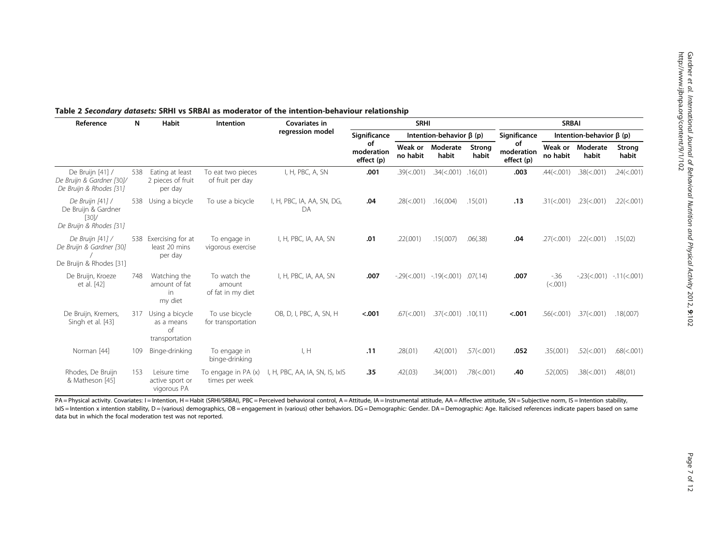| Reference                                                                  | N   | <b>Habit</b>                                          | Intention                                   | Covariates in<br>regression model |                                                | <b>SRHI</b>                    |                                                              | <b>SRBAI</b>    |                                |                                |                             |                        |
|----------------------------------------------------------------------------|-----|-------------------------------------------------------|---------------------------------------------|-----------------------------------|------------------------------------------------|--------------------------------|--------------------------------------------------------------|-----------------|--------------------------------|--------------------------------|-----------------------------|------------------------|
|                                                                            |     |                                                       |                                             |                                   | Significance<br>of<br>moderation<br>effect (p) | Intention-behavior $\beta$ (p) |                                                              |                 | Significance                   | Intention-behavior $\beta$ (p) |                             |                        |
|                                                                            |     |                                                       |                                             |                                   |                                                | Weak or<br>no habit            | Moderate<br>habit                                            | Strong<br>habit | of<br>moderation<br>effect (p) | Weak or<br>no habit            | Moderate<br>habit           | <b>Strong</b><br>habit |
| De Bruijn [41] /<br>De Bruijn & Gardner [30]/<br>De Bruijn & Rhodes [31]   | 538 | Eating at least<br>2 pieces of fruit<br>per day       | To eat two pieces<br>of fruit per day       | I, H, PBC, A, SN                  | .001                                           | .39(< .001)                    | .34(< .001)                                                  | .16(.01)        | .003                           | .44(<.001)                     | .38(<.001)                  | .24(<.001)             |
| De Bruijn [41] /<br>De Bruijn & Gardner<br>[30]<br>De Bruijn & Rhodes [31] |     | 538 Using a bicycle                                   | To use a bicycle                            | I, H, PBC, IA, AA, SN, DG,<br>DA  | .04                                            | .28(<.001)                     | .16(.004)                                                    | .15(.01)        | .13                            | .31(<.001)                     | .23(<.001)                  | .22(<.001)             |
| De Bruijn [41] /<br>De Bruijn & Gardner [30]<br>De Bruijn & Rhodes [31]    |     | 538 Exercising for at<br>least 20 mins<br>per day     | To engage in<br>vigorous exercise           | I, H, PBC, IA, AA, SN             | .01                                            | .22(.001)                      | .15(.007)                                                    | .06(.38)        | .04                            | .27(<.001)                     | .22(<.001)                  | .15(.02)               |
| De Bruijn, Kroeze<br>et al. [42]                                           | 748 | Watching the<br>amount of fat<br>in<br>my diet        | To watch the<br>amount<br>of fat in my diet | I, H, PBC, IA, AA, SN             | .007                                           |                                | $-0.29 \times 0.001$ $-0.19 \times 0.001$ $0.07 \times 0.14$ |                 | .007                           | $-36$<br>(<.001)               | $-.23(<.001)$ $-.11(<.001)$ |                        |
| De Bruijn, Kremers,<br>Singh et al. [43]                                   | 317 | Using a bicycle<br>as a means<br>of<br>transportation | To use bicycle<br>for transportation        | OB, D, I, PBC, A, SN, H           | < .001                                         | .67(<.001)                     | $.37(<.001)$ .10(.11)                                        |                 | < .001                         | .56(<.001)                     | .37(<.001)                  | .18(.007)              |
| Norman [44]                                                                | 109 | Binge-drinking                                        | To engage in<br>binge-drinking              | I, H                              | .11                                            | .28(.01)                       | .42(.001)                                                    | .57(<.001)      | .052                           | .35(.001)                      | .52(<.001)                  | .68(<.001)             |
| Rhodes, De Bruijn<br>& Matheson [45]                                       | 153 | Leisure time<br>active sport or<br>vigorous PA        | To engage in PA (x)<br>times per week       | I, H, PBC, AA, IA, SN, IS, IxIS   | .35                                            | .42(.03)                       | .34(.001)                                                    | .78(<.001)      | .40                            | .52(.005)                      | .38(<.001)                  | .48(.01)               |

#### <span id="page-6-0"></span>Table 2 Secondary datasets: SRHI vs SRBAI as moderator of the intention-behaviour relationship

PA = Physical activity. Covariates: I = Intention, H = Habit (SRHI/SRBAI), PBC = Perceived behavioral control, A = Attitude, IA = Instrumental attitude, AA = Affective attitude, SN = Subjective norm, IS = Intention stabili IxIS = Intention x intention stability, D = (various) demographics, OB = engagement in (various) other behaviors. DG = Demographic: Gender. DA = Demographic: Age. Italicised references indicate papers based on same data but in which the focal moderation test was not reported.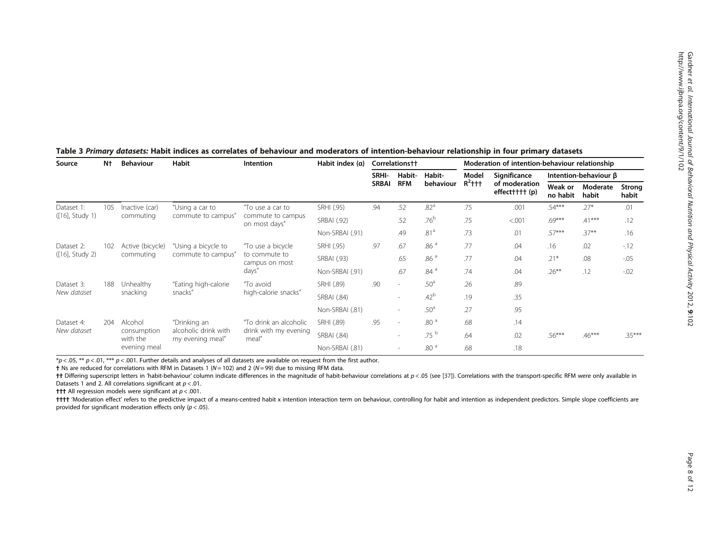Gardner

et al.

| Source                        | N+  | <b>Behaviour</b>              | <b>Habit</b>                                             | Intention                                                     | Habit index $(a)$  | Correlations <sup>++</sup> |                          |                     | Moderation of intention-behaviour relationship |                                                 |                       |                   |                 |  |  |
|-------------------------------|-----|-------------------------------|----------------------------------------------------------|---------------------------------------------------------------|--------------------|----------------------------|--------------------------|---------------------|------------------------------------------------|-------------------------------------------------|-----------------------|-------------------|-----------------|--|--|
|                               |     |                               |                                                          |                                                               |                    | SRHI-<br>SRBAI             | Habit-<br><b>RFM</b>     | Habit-<br>behaviour | Model<br>$R^2$ <sup>+++</sup>                  | Significance<br>of moderation<br>effect++++ (p) | Intention-behaviour ß |                   |                 |  |  |
|                               |     |                               |                                                          |                                                               |                    |                            |                          |                     |                                                |                                                 | Weak or<br>no habit   | Moderate<br>habit | Strong<br>habit |  |  |
| Dataset 1:<br>([16], Study 1) | 105 | Inactive (car)<br>commuting   | "Using a car to<br>commute to campus"                    | "To use a car to<br>commute to campus<br>on most days"        | SRHI (.95)         | .94                        | .52                      | .82 <sup>a</sup>    | .75                                            | .001                                            | $.54***$              | $.27*$            | .01             |  |  |
|                               |     |                               |                                                          |                                                               | SRBAI (.92)        |                            | .52                      | .76 <sup>b</sup>    | .75                                            | < .001                                          | $.69***$              | $.41***$          | .12             |  |  |
|                               |     |                               |                                                          |                                                               | Non-SRBAI (.91)    |                            | .49                      | .81 <sup>a</sup>    | .73                                            | .01                                             | $.57***$              | $.37***$          | .16             |  |  |
| Dataset 2:<br>([16], Study 2) | 102 | Active (bicycle)<br>commuting | "Using a bicycle to<br>commute to campus"                | "To use a bicycle<br>to commute to<br>campus on most<br>days" | SRHI (.95)         | .97                        | .67                      | .86 <sup>a</sup>    | .77                                            | .04                                             | .16                   | .02               | $-12$           |  |  |
|                               |     |                               |                                                          |                                                               | SRBAI (.93)        |                            | .65                      | .86 <sup>a</sup>    | .77                                            | .04                                             | $.21*$                | .08               | $-0.05$         |  |  |
|                               |     |                               |                                                          |                                                               | Non-SRBAI (.91)    |                            | .67                      | $.84$ <sup>a</sup>  | .74                                            | .04                                             | $.26***$              | .12               | $-.02$          |  |  |
| Dataset 3:<br>New dataset     | 188 | Unhealthy<br>snacking         | "Eating high-calorie<br>snacks"                          | "To avoid<br>high-calorie snacks"                             | SRHI (.89)         | .90                        | $\sim$                   | .50 <sup>a</sup>    | .26                                            | .89                                             |                       |                   |                 |  |  |
|                               |     |                               |                                                          |                                                               | <b>SRBAI (.84)</b> |                            |                          | .42 <sup>b</sup>    | .19                                            | .35                                             |                       |                   |                 |  |  |
|                               |     |                               |                                                          |                                                               | Non-SRBAI (.81)    |                            | $\overline{\phantom{a}}$ | .50 <sup>a</sup>    | .27                                            | .95                                             |                       |                   |                 |  |  |
| Dataset 4:<br>New dataset     | 204 | Alcohol                       | "Drinking an<br>alcoholic drink with<br>my evening meal" | "To drink an alcoholic<br>drink with my evening<br>meal"      | SRHI (.89)         | .95                        | $\sim$                   | .80 <sup>a</sup>    | .68                                            | .14                                             |                       |                   |                 |  |  |
|                               |     | consumption<br>with the       |                                                          |                                                               | SRBAI (.84)        |                            | $\sim$                   | .75 <sup>b</sup>    | .64                                            | .02                                             | $.56***$              | $.46***$          | $.35***$        |  |  |
|                               |     | evening meal                  |                                                          |                                                               |                    |                            |                          | Non-SRBAI (.81)     |                                                |                                                 | .80 <sup>a</sup>      | .68               | .18             |  |  |

## <span id="page-7-0"></span>Table 3 Primary datasets: Habit indices as correlates of behaviour and moderators of intention-behaviour relationship in four primary datasets

 $p < 0.05$ , \*\*  $p < 0.01$ , \*\*\*  $p < 0.001$ . Further details and analyses of all datasets are available on request from the first author.

 $\dagger$  Ns are reduced for correlations with RFM in Datasets 1 (N = 102) and 2 (N = 99) due to missing RFM data.

†† Differing superscript letters in 'habit-behaviour' column indicate differences in the magnitude of habit-behaviour correlations at p < .05 (see [\[37\]](#page-10-0)). Correlations with the transport-specific RFM were only available in Datasets 1 and 2. All correlations significant at  $p < 0.01$ .

 $+$ †† All regression models were significant at  $p < .001$ .

†††† 'Moderation effect' refers to the predictive impact of a means-centred habit x intention interaction term on behaviour, controlling for habit and intention as independent predictors. Simple slope coefficients are provided for significant moderation effects only ( $p < .05$ ).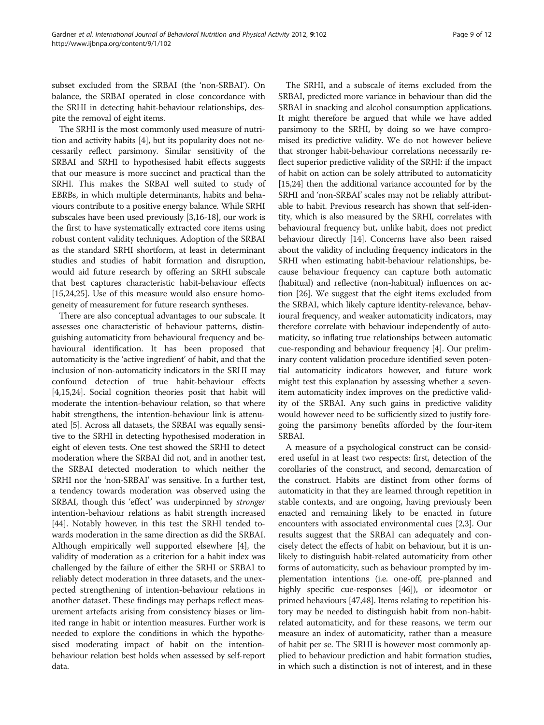subset excluded from the SRBAI (the 'non-SRBAI'). On balance, the SRBAI operated in close concordance with the SRHI in detecting habit-behaviour relationships, despite the removal of eight items.

The SRHI is the most commonly used measure of nutrition and activity habits [[4](#page-9-0)], but its popularity does not necessarily reflect parsimony. Similar sensitivity of the SRBAI and SRHI to hypothesised habit effects suggests that our measure is more succinct and practical than the SRHI. This makes the SRBAI well suited to study of EBRBs, in which multiple determinants, habits and behaviours contribute to a positive energy balance. While SRHI subscales have been used previously [\[3,](#page-9-0)[16](#page-10-0)-[18\]](#page-10-0), our work is the first to have systematically extracted core items using robust content validity techniques. Adoption of the SRBAI as the standard SRHI shortform, at least in determinant studies and studies of habit formation and disruption, would aid future research by offering an SRHI subscale that best captures characteristic habit-behaviour effects [[15,24,25\]](#page-10-0). Use of this measure would also ensure homogeneity of measurement for future research syntheses.

There are also conceptual advantages to our subscale. It assesses one characteristic of behaviour patterns, distinguishing automaticity from behavioural frequency and behavioural identification. It has been proposed that automaticity is the 'active ingredient' of habit, and that the inclusion of non-automaticity indicators in the SRHI may confound detection of true habit-behaviour effects [[4,](#page-9-0)[15,24\]](#page-10-0). Social cognition theories posit that habit will moderate the intention-behaviour relation, so that where habit strengthens, the intention-behaviour link is attenuated [[5\]](#page-9-0). Across all datasets, the SRBAI was equally sensitive to the SRHI in detecting hypothesised moderation in eight of eleven tests. One test showed the SRHI to detect moderation where the SRBAI did not, and in another test, the SRBAI detected moderation to which neither the SRHI nor the 'non-SRBAI' was sensitive. In a further test, a tendency towards moderation was observed using the SRBAI, though this 'effect' was underpinned by stronger intention-behaviour relations as habit strength increased [[44](#page-10-0)]. Notably however, in this test the SRHI tended towards moderation in the same direction as did the SRBAI. Although empirically well supported elsewhere [[4](#page-9-0)], the validity of moderation as a criterion for a habit index was challenged by the failure of either the SRHI or SRBAI to reliably detect moderation in three datasets, and the unexpected strengthening of intention-behaviour relations in another dataset. These findings may perhaps reflect measurement artefacts arising from consistency biases or limited range in habit or intention measures. Further work is needed to explore the conditions in which the hypothesised moderating impact of habit on the intentionbehaviour relation best holds when assessed by self-report data.

The SRHI, and a subscale of items excluded from the SRBAI, predicted more variance in behaviour than did the SRBAI in snacking and alcohol consumption applications. It might therefore be argued that while we have added parsimony to the SRHI, by doing so we have compromised its predictive validity. We do not however believe that stronger habit-behaviour correlations necessarily reflect superior predictive validity of the SRHI: if the impact of habit on action can be solely attributed to automaticity [[15](#page-10-0),[24](#page-10-0)] then the additional variance accounted for by the SRHI and 'non-SRBAI' scales may not be reliably attributable to habit. Previous research has shown that self-identity, which is also measured by the SRHI, correlates with behavioural frequency but, unlike habit, does not predict behaviour directly [\[14\]](#page-10-0). Concerns have also been raised about the validity of including frequency indicators in the SRHI when estimating habit-behaviour relationships, because behaviour frequency can capture both automatic (habitual) and reflective (non-habitual) influences on action [\[26\]](#page-10-0). We suggest that the eight items excluded from the SRBAI, which likely capture identity-relevance, behavioural frequency, and weaker automaticity indicators, may therefore correlate with behaviour independently of automaticity, so inflating true relationships between automatic cue-responding and behaviour frequency [\[4](#page-9-0)]. Our preliminary content validation procedure identified seven potential automaticity indicators however, and future work might test this explanation by assessing whether a sevenitem automaticity index improves on the predictive validity of the SRBAI. Any such gains in predictive validity would however need to be sufficiently sized to justify foregoing the parsimony benefits afforded by the four-item SRBAI.

A measure of a psychological construct can be considered useful in at least two respects: first, detection of the corollaries of the construct, and second, demarcation of the construct. Habits are distinct from other forms of automaticity in that they are learned through repetition in stable contexts, and are ongoing, having previously been enacted and remaining likely to be enacted in future encounters with associated environmental cues [\[2,3\]](#page-9-0). Our results suggest that the SRBAI can adequately and concisely detect the effects of habit on behaviour, but it is unlikely to distinguish habit-related automaticity from other forms of automaticity, such as behaviour prompted by implementation intentions (i.e. one-off, pre-planned and highly specific cue-responses [[46](#page-10-0)]), or ideomotor or primed behaviours [[47](#page-10-0),[48](#page-10-0)]. Items relating to repetition history may be needed to distinguish habit from non-habitrelated automaticity, and for these reasons, we term our measure an index of automaticity, rather than a measure of habit per se. The SRHI is however most commonly applied to behaviour prediction and habit formation studies, in which such a distinction is not of interest, and in these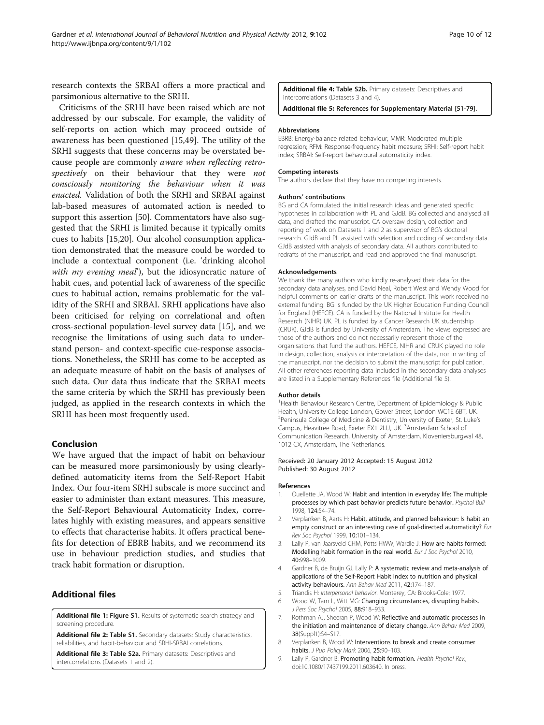<span id="page-9-0"></span>research contexts the SRBAI offers a more practical and parsimonious alternative to the SRHI.

Criticisms of the SRHI have been raised which are not addressed by our subscale. For example, the validity of self-reports on action which may proceed outside of awareness has been questioned [[15](#page-10-0),[49](#page-10-0)]. The utility of the SRHI suggests that these concerns may be overstated because people are commonly aware when reflecting retrospectively on their behaviour that they were not consciously monitoring the behaviour when it was enacted. Validation of both the SRHI and SRBAI against lab-based measures of automated action is needed to support this assertion [\[50\]](#page-10-0). Commentators have also suggested that the SRHI is limited because it typically omits cues to habits [\[15,20](#page-10-0)]. Our alcohol consumption application demonstrated that the measure could be worded to include a contextual component (i.e. 'drinking alcohol with my evening meal'), but the idiosyncratic nature of habit cues, and potential lack of awareness of the specific cues to habitual action, remains problematic for the validity of the SRHI and SRBAI. SRHI applications have also been criticised for relying on correlational and often cross-sectional population-level survey data [[15\]](#page-10-0), and we recognise the limitations of using such data to understand person- and context-specific cue-response associations. Nonetheless, the SRHI has come to be accepted as an adequate measure of habit on the basis of analyses of such data. Our data thus indicate that the SRBAI meets the same criteria by which the SRHI has previously been judged, as applied in the research contexts in which the SRHI has been most frequently used.

#### Conclusion

We have argued that the impact of habit on behaviour can be measured more parsimoniously by using clearlydefined automaticity items from the Self-Report Habit Index. Our four-item SRHI subscale is more succinct and easier to administer than extant measures. This measure, the Self-Report Behavioural Automaticity Index, correlates highly with existing measures, and appears sensitive to effects that characterise habits. It offers practical benefits for detection of EBRB habits, and we recommend its use in behaviour prediction studies, and studies that track habit formation or disruption.

# Additional files

[Additional file 1:](http://www.biomedcentral.com/content/supplementary/1479-5868-9-102-S1.doc) Figure S1. Results of systematic search strategy and screening procedure.

[Additional file 2:](http://www.biomedcentral.com/content/supplementary/1479-5868-9-102-S2.doc) Table S1. Secondary datasets: Study characteristics, reliabilities, and habit-behaviour and SRHI-SRBAI correlations.

[Additional file 3:](http://www.biomedcentral.com/content/supplementary/1479-5868-9-102-S3.doc) Table S2a. Primary datasets: Descriptives and intercorrelations (Datasets 1 and 2).

[Additional file 4:](http://www.biomedcentral.com/content/supplementary/1479-5868-9-102-S4.doc) Table S2b. Primary datasets: Descriptives and intercorrelations (Datasets 3 and 4).

#### [Additional file 5:](http://www.biomedcentral.com/content/supplementary/1479-5868-9-102-S5.doc) References for Supplementary Material [51-79].

#### Abbreviations

EBRB: Energy-balance related behaviour; MMR: Moderated multiple regression; RFM: Response-frequency habit measure; SRHI: Self-report habit index; SRBAI: Self-report behavioural automaticity index.

#### Competing interests

The authors declare that they have no competing interests.

#### Authors' contributions

BG and CA formulated the initial research ideas and generated specific hypotheses in collaboration with PL and GJdB. BG collected and analysed all data, and drafted the manuscript. CA oversaw design, collection and reporting of work on Datasets 1 and 2 as supervisor of BG's doctoral research. GJdB and PL assisted with selection and coding of secondary data. GJdB assisted with analysis of secondary data. All authors contributed to redrafts of the manuscript, and read and approved the final manuscript.

#### Acknowledgements

We thank the many authors who kindly re-analysed their data for the secondary data analyses, and David Neal, Robert West and Wendy Wood for helpful comments on earlier drafts of the manuscript. This work received no external funding. BG is funded by the UK Higher Education Funding Council for England (HEFCE). CA is funded by the National Institute for Health Research (NIHR) UK. PL is funded by a Cancer Research UK studentship (CRUK). GJdB is funded by University of Amsterdam. The views expressed are those of the authors and do not necessarily represent those of the organisations that fund the authors. HEFCE, NIHR and CRUK played no role in design, collection, analysis or interpretation of the data, nor in writing of the manuscript, nor the decision to submit the manuscript for publication. All other references reporting data included in the secondary data analyses are listed in a Supplementary References file (Additional file 5).

#### Author details

<sup>1</sup> Health Behaviour Research Centre, Department of Epidemiology & Public Health, University College London, Gower Street, London WC1E 6BT, UK. <sup>2</sup>Peninsula College of Medicine & Dentistry, University of Exeter, St. Luke's Campus, Heavitree Road, Exeter EX1 2LU, UK. <sup>3</sup>Amsterdam School of Communication Research, University of Amsterdam, Kloveniersburgwal 48, 1012 CX, Amsterdam, The Netherlands.

#### Received: 20 January 2012 Accepted: 15 August 2012 Published: 30 August 2012

#### References

- 1. Ouellette JA, Wood W: Habit and intention in everyday life: The multiple processes by which past behavior predicts future behavior. Psychol Bull 1998, 124:54–74.
- 2. Verplanken B, Aarts H: Habit, attitude, and planned behaviour: Is habit an empty construct or an interesting case of goal-directed automaticity? Eur Rev Soc Psychol 1999, 10:101–134.
- 3. Lally P, van Jaarsveld CHM, Potts HWW, Wardle J: How are habits formed: Modelling habit formation in the real world. Eur J Soc Psychol 2010, 40:998–1009.
- 4. Gardner B, de Bruijn GJ, Lally P: A systematic review and meta-analysis of applications of the Self-Report Habit Index to nutrition and physical activity behaviours. Ann Behav Med 2011, 42:174–187.
- 5. Triandis H: Interpersonal behavior. Monterey, CA: Brooks-Cole; 1977.
- 6. Wood W, Tam L, Witt MG: Changing circumstances, disrupting habits. J Pers Soc Psychol 2005, 88:918–933.
- 7. Rothman AJ, Sheeran P, Wood W: Reflective and automatic processes in the initiation and maintenance of dietary change. Ann Behav Med 2009, 38(Suppl1):S4–S17.
- 8. Verplanken B, Wood W: Interventions to break and create consumer habits. J Pub Policy Mark 2006, 25:90–103.
- 9. Lally P, Gardner B: Promoting habit formation. Health Psychol Rev., doi[:10.1080/17437199.2011.603640.](http://dx.doi.org/10.1080/17437199.2011.603640) In press.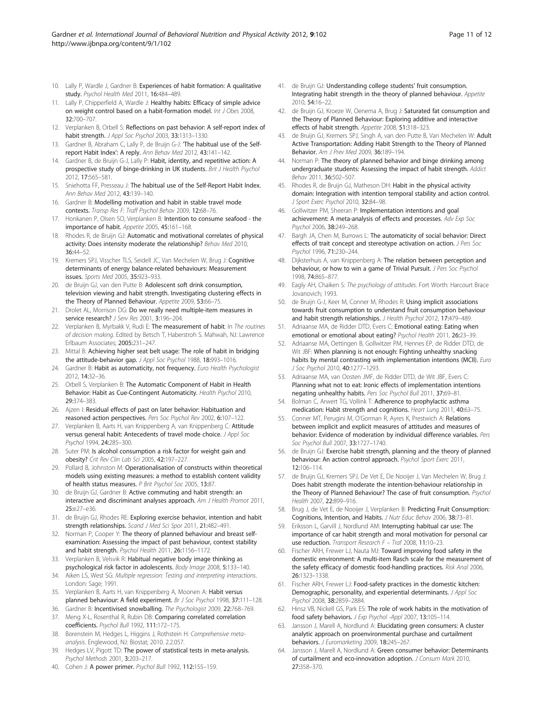- <span id="page-10-0"></span>10. Lally P, Wardle J, Gardner B: Experiences of habit formation: A qualitative study. Psychol Health Med 2011, 16:484-489.
- 11. Lally P, Chipperfield A, Wardle J: Healthy habits: Efficacy of simple advice on weight control based on a habit-formation model. Int J Obes 2008, 32:700–707.
- 12. Verplanken B, Orbell S: Reflections on past behavior: A self-report index of habit strength. J Appl Soc Psychol 2003, 33:1313-1330.
- 13. Gardner B, Abraham C, Lally P, de Bruijn G-J: 'The habitual use of the Selfreport Habit Index': A reply. Ann Behav Med 2012, 43:141–142.
- 14. Gardner B, de Bruijn G-J, Lally P: Habit, identity, and repetitive action: A prospective study of binge-drinking in UK students. Brit J Health Psychol 2012, 17:565–581.
- 15. Sniehotta FF, Presseau J: The habitual use of the Self-Report Habit Index. Ann Behav Med 2012, 43:139–140.
- 16. Gardner B: Modelling motivation and habit in stable travel mode contexts. Transp Res F: Traff Psychol Behav 2009, 12:68–76.
- 17. Honkanen P, Olsen SO, Verplanken B: Intention to consume seafood the importance of habit. Appetite 2005, 45:161–168.
- 18. Rhodes R, de Bruijn GJ: Automatic and motivational correlates of physical activity: Does intensity moderate the relationship? Behav Med 2010, 36:44–52.
- 19. Kremers SPJ, Visscher TLS, Seidell JC, Van Mechelen W, Brug J: Cognitive determinants of energy balance-related behaviours: Measurement issues. Sports Med 2005, 35:923–933.
- 20. de Bruijn GJ, van den Putte B: Adolescent soft drink consumption, television viewing and habit strength. Investigating clustering effects in the Theory of Planned Behaviour. Appetite 2009, 53:66–75.
- 21. Drolet AL, Morrison DG: Do we really need multiple-item measures in service research? J Serv Res 2001, 3:196-204.
- 22. Verplanken B, Myrbakk V, Rudi E: The measurement of habit. In The routines of decision making. Edited by Betsch T, Haberstroh S. Mahwah, NJ: Lawrence Erlbaum Associates; 2005:231–247.
- 23. Mittal B: Achieving higher seat belt usage: The role of habit in bridging the attitude-behavior gap. J Appl Soc Psychol 1988, 18:993-1016.
- 24. Gardner B: Habit as automaticity, not frequency. Euro Health Psychologist 2012, 14:32–36.
- 25. Orbell S, Verplanken B: The Automatic Component of Habit in Health Behavior: Habit as Cue-Contingent Automaticity. Health Psychol 2010, 29:374–383.
- 26. Ajzen I: Residual effects of past on later behavior: Habituation and reasoned action perspectives. Pers Soc Psychol Rev 2002, 6:107–122.
- 27. Verplanken B, Aarts H, van Knippenberg A, van Knippenberg C: Attitude versus general habit: Antecedents of travel mode choice. J Appl Soc Psychol 1994, 24:285–300.
- 28. Suter PM: Is alcohol consumption a risk factor for weight gain and obesity? Crit Rev Clin Lab Sci 2005, 42:197–227.
- 29. Pollard B, Johnston M: Operationalisation of constructs within theoretical models using existing measures: a method to establish content validity of health status measures. P Brit Psychol Soc 2005, 13:87.
- 30. de Bruijn GJ, Gardner B: Active commuting and habit strength: an interactive and discriminant analyses approach. Am J Health Promot 2011, 25:e27–e36.
- 31. de Bruijn GJ, Rhodes RE: Exploring exercise behavior, intention and habit strength relationships. Scand J Med Sci Spor 2011, 21:482–491.
- 32. Norman P, Cooper Y: The theory of planned behaviour and breast selfexamination: Assessing the impact of past behaviour, context stability and habit strength. Psychol Health 2011, 26:1156–1172.
- 33. Verplanken B, Velsvik R: Habitual negative body image thinking as psychological risk factor in adolescents. Body Image 2008, 5:133–140.
- 34. Aiken LS, West SG: Multiple regression: Testing and interpreting interactions. London: Sage; 1991.
- 35. Verplanken B, Aarts H, van Knippenberg A, Moonen A: Habit versus planned behaviour: A field experiment. Br J Soc Psychol 1998, 37:111-128.
- 36. Gardner B: Incentivised snowballing. The Psychologist 2009, 22:768–769.
- 37. Meng X-L, Rosenthal R, Rubin DB: Comparing correlated correlation coefficients. Psychol Bull 1992, 111:172–175.
- 38. Borenstein M, Hedges L, Higgins J, Rothstein H: Comprehensive metaanalysis. Englewood, NJ: Biostat; 2010. 2.2.057.
- Hedges LV, Pigott TD: The power of statistical tests in meta-analysis. Psychol Methods 2001, 3:203–217.
- 40. Cohen J: A power primer. Psychol Bull 1992, 112:155–159.
- 41. de Bruijn GJ: Understanding college students' fruit consumption. Integrating habit strength in the theory of planned behaviour. Appetite 2010, 54:16–22.
- 42. de Bruijn GJ, Kroeze W, Oenema A, Brug J: Saturated fat consumption and the Theory of Planned Behaviour: Exploring additive and interactive effects of habit strength. Appetite 2008, 51:318–323.
- 43. de Bruijn GJ, Kremers SPJ, Singh A, van den Putte B, Van Mechelen W: Adult Active Transportation: Adding Habit Strength to the Theory of Planned Behavior. Am J Prev Med 2009, 36:189–194.
- 44. Norman P: The theory of planned behavior and binge drinking among undergraduate students: Assessing the impact of habit strength. Addict Behav 2011, 36:502–507.
- 45. Rhodes R, de Bruijn GJ, Matheson DH: Habit in the physical activity domain: Integration with intention temporal stability and action control. J Sport Exerc Psychol 2010, 32:84-98.
- 46. Gollwitzer PM, Sheeran P: Implementation intentions and goal achievement: A meta-analysis of effects and processes. Adv Exp Soc Psychol 2006, 38:249-268.
- 47. Bargh JA, Chen M, Burrows L: The automaticity of social behavior: Direct effects of trait concept and stereotype activation on action. J Pers Soc Psychol 1996, 71:230–244.
- Dijksterhuis A, van Knippenberg A: The relation between perception and behaviour, or how to win a game of Trivial Pursuit. J Pers Soc Psychol 1998, 74:865–877.
- 49. Eagly AH, Chaiken S: The psychology of attitudes. Fort Worth: Harcourt Brace Jovanovich; 1993.
- 50. de Bruijn G-J, Keer M, Conner M, Rhodes R: Using implicit associations towards fruit consumption to understand fruit consumption behaviour and habit strength relationships. J Health Psychol 2012, 17:479-489.
- 51. Adriaanse MA, de Ridder DTD, Evers C: Emotional eating: Eating when emotional or emotional about eating? Psychol Health 2011, 26:23-39.
- 52. Adriaanse MA, Oettingen B, Gollwitzer PM, Hennes EP, de Ridder DTD, de Wit JBF: When planning is not enough: Fighting unhealthy snacking habits by mental contrasting with implementation intentions (MCII). Euro J Soc Psychol 2010, 40:1277–1293.
- 53. Adriaanse MA, van Oosten JMF, de Ridder DTD, de Wit JBF, Evers C: Planning what not to eat: Ironic effects of implementation intentions negating unhealthy habits. Pers Soc Psychol Bull 2011, 37:69–81.
- 54. Bolman C, Arwert TG, Vollink T: Adherence to prophylactic asthma medication: Habit strength and cognitions. Heart Lung 2011, 40:63–75.
- 55. Conner MT, Perugini M, O'Gorman R, Ayres K, Prestwich A: Relations between implicit and explicit measures of attitudes and measures of behavior: Evidence of moderation by individual difference variables. Pers Soc Psychol Bull 2007, 33:1727–1740.
- 56. de Bruijn GJ: Exercise habit strength, planning and the theory of planned behaviour: An action control approach. Psychol Sport Exerc 2011, 12:106–114.
- 57. de Bruijn GJ, Kremers SPJ, De Vet E, De Nooijer J, Van Mechelen W, Brug J: Does habit strength moderate the intention-behaviour relationship in the Theory of Planned Behaviour? The case of fruit consumption. Psychol Health 2007, 22:899–916.
- 58. Brug J, de Vet E, de Nooijer J, Verplanken B: Predicting Fruit Consumption: Cognitions, Intention, and Habits. J Nutr Educ Behav 2006, 38:73–81.
- 59. Eriksson L, Garvill J, Nordlund AM: Interrupting habitual car use: The importance of car habit strength and moral motivation for personal car use reduction. Transport Research F - Traf 2008, 11:10-23.
- Fischer ARH, Frewer LJ, Nauta MJ: Toward improving food safety in the domestic environment: A multi-item Rasch scale for the measurement of the safety efficacy of domestic food-handling practices. Risk Anal 2006, 26:1323–1338.
- 61. Fischer ARH, Frewer LJ: Food-safety practices in the domestic kitchen: Demographic, personality, and experiential determinants. J Appl Soc Psychol 2008, 38:2859–2884.
- 62. Hinsz VB, Nickell GS, Park ES: The role of work habits in the motivation of food safety behaviors. J Exp Psychol -Appl 2007, 13:105–114.
- 63. Jansson J, Marell A, Nordlund A: Elucidating green consumers: A cluster analytic approach on proenvironmental purchase and curtailment behaviors. J Euromarketing 2009, 18:245–267.
- 64. Jansson J, Marell A, Nordlund A: Green consumer behavior: Determinants of curtailment and eco-innovation adoption. J Consum Mark 2010, 27:358–370.